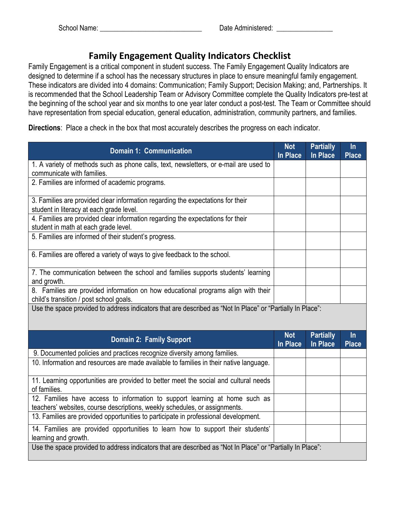## **Family Engagement Quality Indicators Checklist**

Family Engagement is a critical component in student success. The Family Engagement Quality Indicators are designed to determine if a school has the necessary structures in place to ensure meaningful family engagement. These indicators are divided into 4 domains: Communication; Family Support; Decision Making; and, Partnerships. It is recommended that the School Leadership Team or Advisory Committee complete the Quality Indicators pre-test at the beginning of the school year and six months to one year later conduct a post-test. The Team or Committee should have representation from special education, general education, administration, community partners, and families.

**Directions**: Place a check in the box that most accurately describes the progress on each indicator.

| <b>Domain 1: Communication</b>                                                                                                                            | <b>Not</b><br><b>In Place</b> | <b>Partially</b><br><b>In Place</b> | $\ln$<br><b>Place</b> |
|-----------------------------------------------------------------------------------------------------------------------------------------------------------|-------------------------------|-------------------------------------|-----------------------|
| 1. A variety of methods such as phone calls, text, newsletters, or e-mail are used to<br>communicate with families.                                       |                               |                                     |                       |
| 2. Families are informed of academic programs.                                                                                                            |                               |                                     |                       |
| 3. Families are provided clear information regarding the expectations for their<br>student in literacy at each grade level.                               |                               |                                     |                       |
| 4. Families are provided clear information regarding the expectations for their<br>student in math at each grade level.                                   |                               |                                     |                       |
| 5. Families are informed of their student's progress.                                                                                                     |                               |                                     |                       |
| 6. Families are offered a variety of ways to give feedback to the school.                                                                                 |                               |                                     |                       |
| 7. The communication between the school and families supports students' learning<br>and growth.                                                           |                               |                                     |                       |
| 8. Families are provided information on how educational programs align with their<br>child's transition / post school goals.                              |                               |                                     |                       |
| Use the space provided to address indicators that are described as "Not In Place" or "Partially In Place":                                                |                               |                                     |                       |
| <b>Domain 2: Family Support</b>                                                                                                                           | <b>Not</b><br><b>In Place</b> | <b>Partially</b><br>In Place        | $\ln$<br><b>Place</b> |
| 9. Documented policies and practices recognize diversity among families.                                                                                  |                               |                                     |                       |
| 10. Information and resources are made available to families in their native language.                                                                    |                               |                                     |                       |
| 11. Learning opportunities are provided to better meet the social and cultural needs<br>of families.                                                      |                               |                                     |                       |
| 12. Families have access to information to support learning at home such as<br>teachers' websites, course descriptions, weekly schedules, or assignments. |                               |                                     |                       |
| 13. Families are provided opportunities to participate in professional development.                                                                       |                               |                                     |                       |
| 14. Families are provided opportunities to learn how to support their students'<br>learning and growth.                                                   |                               |                                     |                       |
| Use the space provided to address indicators that are described as "Not In Place" or "Partially In Place":                                                |                               |                                     |                       |